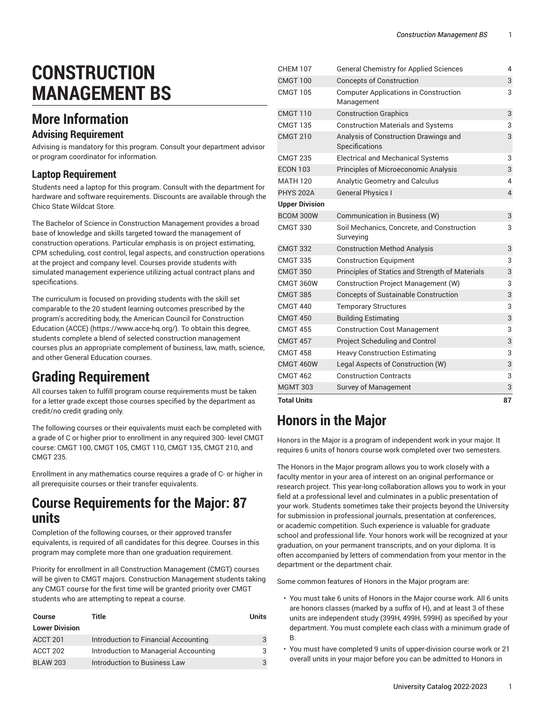# **CONSTRUCTION MANAGEMENT BS**

#### **More Information**

#### **Advising Requirement**

Advising is mandatory for this program. Consult your department advisor or program coordinator for information.

#### **Laptop Requirement**

Students need a laptop for this program. Consult with the department for hardware and software requirements. Discounts are available through the Chico State Wildcat Store.

The Bachelor of Science in Construction Management provides a broad base of knowledge and skills targeted toward the management of construction operations. Particular emphasis is on project estimating, CPM scheduling, cost control, legal aspects, and construction operations at the project and company level. Courses provide students with simulated management experience utilizing actual contract plans and specifications.

The curriculum is focused on providing students with the skill set comparable to the 20 student learning outcomes prescribed by the program's accrediting body, the [American Council for Construction](https://www.acce-hq.org/) [Education](https://www.acce-hq.org/) (ACCE) [\(https://www.acce-hq.org/\)](https://www.acce-hq.org/). To obtain this degree, students complete a blend of selected construction management courses plus an appropriate complement of business, law, math, science, and other General Education courses.

#### **Grading Requirement**

All courses taken to fulfill program course requirements must be taken for a letter grade except those courses specified by the department as credit/no credit grading only.

The following courses or their equivalents must each be completed with a grade of C or higher prior to enrollment in any required 300- level CMGT course: CMGT 100, CMGT 105, CMGT 110, CMGT 135, CMGT 210, and CMGT 235.

Enrollment in any mathematics course requires a grade of C- or higher in all prerequisite courses or their transfer equivalents.

#### **Course Requirements for the Major: 87 units**

Completion of the following courses, or their approved transfer equivalents, is required of all candidates for this degree. Courses in this program may complete more than one graduation requirement.

Priority for enrollment in all Construction Management (CMGT) courses will be given to CMGT majors. Construction Management students taking any CMGT course for the first time will be granted priority over CMGT students who are attempting to repeat a course.

| <b>Course</b>         | Title                                 | Units |
|-----------------------|---------------------------------------|-------|
| <b>Lower Division</b> |                                       |       |
| ACCT 201              | Introduction to Financial Accounting  |       |
| ACCT 202              | Introduction to Managerial Accounting |       |
| <b>BLAW 203</b>       | Introduction to Business Law          |       |

| <b>Total Units</b>    |                                                            | 87             |
|-----------------------|------------------------------------------------------------|----------------|
| <b>MGMT 303</b>       | <b>Survey of Management</b>                                | 3              |
| <b>CMGT 462</b>       | <b>Construction Contracts</b>                              | 3              |
| <b>CMGT 460W</b>      | Legal Aspects of Construction (W)                          | 3              |
| <b>CMGT 458</b>       | <b>Heavy Construction Estimating</b>                       | 3              |
| <b>CMGT 457</b>       | Project Scheduling and Control                             | 3              |
| <b>CMGT 455</b>       | <b>Construction Cost Management</b>                        | 3              |
| <b>CMGT 450</b>       | <b>Building Estimating</b>                                 | 3              |
| <b>CMGT 440</b>       | <b>Temporary Structures</b>                                | 3              |
| <b>CMGT 385</b>       | <b>Concepts of Sustainable Construction</b>                | 3              |
| CMGT 360W             | Construction Project Management (W)                        | 3              |
| <b>CMGT 350</b>       | Principles of Statics and Strength of Materials            | 3              |
| <b>CMGT 335</b>       | <b>Construction Equipment</b>                              | 3              |
| <b>CMGT 332</b>       | <b>Construction Method Analysis</b>                        | 3              |
| <b>CMGT 330</b>       | Soil Mechanics, Concrete, and Construction<br>Surveying    | 3              |
| BCOM 300W             | Communication in Business (W)                              | 3              |
| <b>Upper Division</b> |                                                            |                |
| <b>PHYS 202A</b>      | <b>General Physics I</b>                                   | $\overline{4}$ |
| <b>MATH 120</b>       | <b>Analytic Geometry and Calculus</b>                      | 4              |
| <b>ECON 103</b>       | Principles of Microeconomic Analysis                       | 3              |
| <b>CMGT 235</b>       | <b>Electrical and Mechanical Systems</b>                   | 3              |
| <b>CMGT 210</b>       | Analysis of Construction Drawings and<br>Specifications    | 3              |
| <b>CMGT 135</b>       | <b>Construction Materials and Systems</b>                  | 3              |
| <b>CMGT 110</b>       | <b>Construction Graphics</b>                               | 3              |
| <b>CMGT 105</b>       | <b>Computer Applications in Construction</b><br>Management | 3              |
| CMGT 100              | <b>Concepts of Construction</b>                            | 3              |
| <b>CHEM 107</b>       | <b>General Chemistry for Applied Sciences</b>              | 4              |

# **Honors in the Major**

Honors in the Major is a program of independent work in your major. It requires 6 units of honors course work completed over two semesters.

The Honors in the Major program allows you to work closely with a faculty mentor in your area of interest on an original performance or research project. This year-long collaboration allows you to work in your field at a professional level and culminates in a public presentation of your work. Students sometimes take their projects beyond the University for submission in professional journals, presentation at conferences, or academic competition. Such experience is valuable for graduate school and professional life. Your honors work will be recognized at your graduation, on your permanent transcripts, and on your diploma. It is often accompanied by letters of commendation from your mentor in the department or the department chair.

Some common features of Honors in the Major program are:

- You must take 6 units of Honors in the Major course work. All 6 units are honors classes (marked by a suffix of H), and at least 3 of these units are independent study (399H, 499H, 599H) as specified by your department. You must complete each class with a minimum grade of B.
- You must have completed 9 units of upper-division course work or 21 overall units in your major before you can be admitted to Honors in